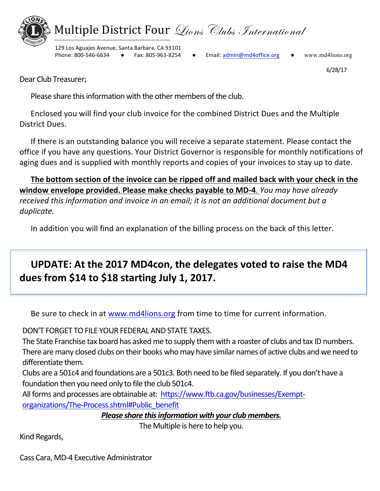

6/28/17

Dear Club Treasurer;

Please share this information with the other members of the club.

Enclosed you will find your club invoice for the combined District Dues and the Multiple District Dues.

If there is an outstanding balance you will receive a separate statement. Please contact the office if you have any questions. Your District Governor is responsible for monthly notifications of aging dues and is supplied with monthly reports and copies of your invoices to stay up to date.

The bottom section of the invoice can be ripped off and mailed back with your check in the **window envelope provided. Please make checks payable to MD-4**. *You may have already* received this information and invoice in an email; it is not an additional document but a *duplicate.*

In addition you will find an explanation of the billing process on the back of this letter.

# UPDATE: At the 2017 MD4con, the delegates voted to raise the MD4 **dues from \$14 to \$18 starting July 1, 2017.**

Be sure to check in at www.md4lions.org from time to time for current information.

DON'T FORGET TO FILE YOUR FEDERAL AND STATE TAXES.

The State Franchise tax board has asked me to supply them with a roaster of clubs and tax ID numbers. There are many closed clubs on their books who may have similar names of active clubs and we need to differentiate them.

Clubs are a 501c4 and foundations are a 501c3. Both need to be filed separately. If you don't have a foundation then you need only to file the club 501c4.

All forms and processes are obtainable at: https://www.ftb.ca.gov/businesses/Exemptorganizations/The-Process.shtml#Public\_benefit

*Please share this information with your club members.* 

The Multiple is here to help you.

Kind Regards,

Cass Cara, MD-4 Executive Administrator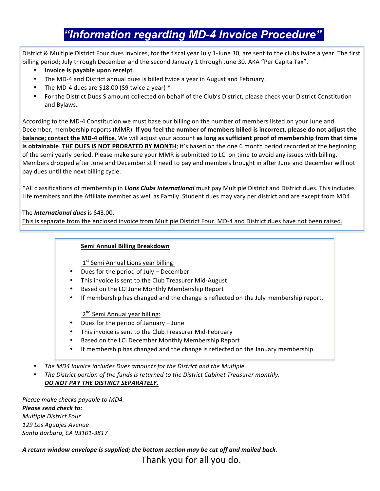# *"Information regarding MD-4 Invoice Procedure" "*

District & Multiple District Four dues invoices, for the fiscal year July 1-June 30, are sent to the clubs twice a year. The first billing period; July through December and the second January 1 through June 30. AKA "Per Capita Tax".

- **Invoice is payable upon receipt**.
- The MD-4 and District annual dues is billed twice a year in August and February.
- The MD-4 dues are \$18.00 (\$9 twice a year)  $*$
- For the District Dues \$ amount collected on behalf of the Club's District, please check your District Constitution and Bylaws.

**balance; contact the MD-4 office**. We will adjust your account as long as sufficient proof of membership from that time According to the MD-4 Constitution we must base our billing on the number of members listed on your June and December, membership reports (MMR). If you feel the number of members billed is incorrect, please do not adjust the **is obtainable. THE DUES IS NOT PRORATED BY MONTH**; it's based on the one 6 month period recorded at the beginning of the semi yearly period. Please make sure your MMR is submitted to LCI on time to avoid any issues with billing. Members dropped after June and December still need to pay and members brought in after June and December will not pay dues until the next billing cycle.

\*All classifications of membership in *Lions Clubs International* must pay Multiple District and District dues. This includes Life members and the Affiliate member as well as Family. Student dues may vary per district and are except from MD4.

The *International dues* is \$43.00.

This is separate from the enclosed invoice from Multiple District Four. MD-4 and District dues have not been raised.

#### **Semi Annual Billing Breakdown**

 $1<sup>st</sup>$  Semi Annual Lions year billing:

- Dues for the period of July  $-$  December
- This invoice is sent to the Club Treasurer Mid-August
- Based on the LCI June Monthly Membership Report
- If membership has changed and the change is reflected on the July membership report.

 $2<sup>nd</sup>$  Semi Annual year billing:

- Dues for the period of January  $-$  June
- This invoice is sent to the Club Treasurer Mid-February
- Based on the LCI December Monthly Membership Report
- If membership has changed and the change is reflected on the January membership.
- The MD4 Invoice includes Dues amounts for the District and the Multiple.
- The District portion of the funds is returned to the District Cabinet Treasurer monthly. DO NOT PAY THE DISTRICT SEPARATELY.

*Please make checks payable to MD4. Please send check to: Multiple District Four 129 Los Aguajes Avenue Santa Barbara, CA 93101-3817*

A return window envelope is supplied; the bottom section may be cut off and mailed back.

Thank you for all you do.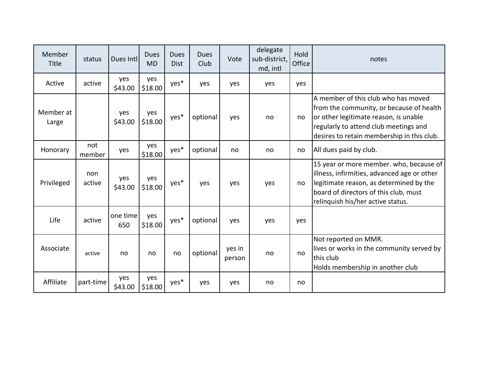| Member<br><b>Title</b> | status        | Dues Intl       | <b>Dues</b><br><b>MD</b> | Dues<br><b>Dist</b> | <b>Dues</b><br>Club | Vote             | delegate<br>sub-district,<br>md, intl | Hold<br>Office | notes                                                                                                                                                                                                           |
|------------------------|---------------|-----------------|--------------------------|---------------------|---------------------|------------------|---------------------------------------|----------------|-----------------------------------------------------------------------------------------------------------------------------------------------------------------------------------------------------------------|
| Active                 | active        | yes<br>\$43.00  | yes<br>\$18.00           | yes*                | yes                 | yes              | yes                                   | yes            |                                                                                                                                                                                                                 |
| Member at<br>Large     |               | yes<br>\$43.00  | yes<br>\$18.00           | yes*                | optional            | yes              | no                                    | no             | A member of this club who has moved<br>from the community, or because of health<br>or other legitimate reason, is unable<br>regularly to attend club meetings and<br>desires to retain membership in this club. |
| Honorary               | not<br>member | yes             | yes<br>\$18.00           | yes*                | optional            | no               | no                                    | no             | All dues paid by club.                                                                                                                                                                                          |
| Privileged             | non<br>active | yes<br>\$43.00  | yes<br>\$18.00           | yes*                | yes                 | yes              | yes                                   | no             | 15 year or more member. who, because of<br>illness, infirmities, advanced age or other<br>legitimate reason, as determined by the<br>board of directors of this club, must<br>relinquish his/her active status. |
| Life                   | active        | one time<br>650 | yes<br>\$18.00           | yes*                | optional            | yes              | yes                                   | yes            |                                                                                                                                                                                                                 |
| Associate              | active        | no              | no                       | no                  | optional            | yes in<br>person | no                                    | no             | Not reported on MMR.<br>lives or works in the community served by<br>this club<br>Holds membership in another club                                                                                              |
| Affiliate              | part-time     | yes<br>\$43.00  | yes<br>\$18.00           | yes*                | yes                 | yes              | no                                    | no             |                                                                                                                                                                                                                 |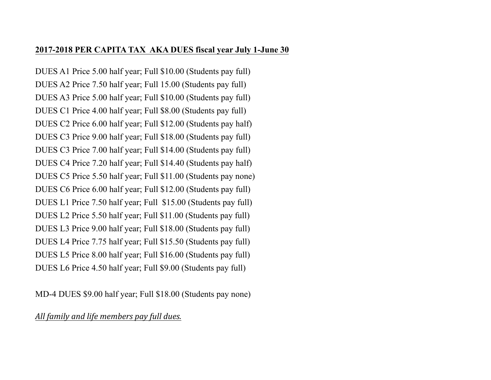### **2017-2018 PER CAPITA TAX AKA DUES fiscal year July 1-June 30**

DUES A1 Price 5.00 half year; Full \$10.00 (Students pay full) DUES A2 Price 7.50 half year; Full 15.00 (Students pay full) DUES A3 Price 5.00 half year; Full \$10.00 (Students pay full) DUES C1 Price 4.00 half year; Full \$8.00 (Students pay full) DUES C2 Price 6.00 half year; Full \$12.00 (Students pay half) DUES C3 Price 9.00 half year; Full \$18.00 (Students pay full) DUES C3 Price 7.00 half year; Full \$14.00 (Students pay full) DUES C4 Price 7.20 half year; Full \$14.40 (Students pay half) DUES C5 Price 5.50 half year; Full \$11.00 (Students pay none) DUES C6 Price 6.00 half year; Full \$12.00 (Students pay full) DUES L1 Price 7.50 half year; Full \$15.00 (Students pay full) DUES L2 Price 5.50 half year; Full \$11.00 (Students pay full) DUES L3 Price 9.00 half year; Full \$18.00 (Students pay full) DUES L4 Price 7.75 half year; Full \$15.50 (Students pay full) DUES L5 Price 8.00 half year; Full \$16.00 (Students pay full) DUES L6 Price 4.50 half year; Full \$9.00 (Students pay full)

MD-4 DUES \$9.00 half year; Full \$18.00 (Students pay none)

## All family and life members pay full dues.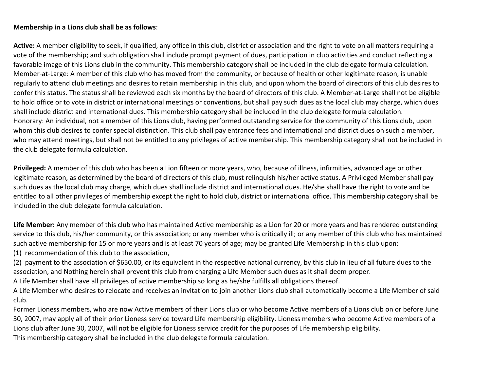#### **Membership in a Lions club shall be as follows**:

Active: A member eligibility to seek, if qualified, any office in this club, district or association and the right to vote on all matters requiring a vote of the membership; and such obligation shall include prompt payment of dues, participation in club activities and conduct reflecting a favorable image of this Lions club in the community. This membership category shall be included in the club delegate formula calculation. Member-at-Large: A member of this club who has moved from the community, or because of health or other legitimate reason, is unable regularly to attend club meetings and desires to retain membership in this club, and upon whom the board of directors of this club desires to confer this status. The status shall be reviewed each six months by the board of directors of this club. A Member-at-Large shall not be eligible to hold office or to vote in district or international meetings or conventions, but shall pay such dues as the local club may charge, which dues shall include district and international dues. This membership category shall be included in the club delegate formula calculation. Honorary: An individual, not a member of this Lions club, having performed outstanding service for the community of this Lions club, upon whom this club desires to confer special distinction. This club shall pay entrance fees and international and district dues on such a member, who may attend meetings, but shall not be entitled to any privileges of active membership. This membership category shall not be included in the club delegate formula calculation.

Privileged: A member of this club who has been a Lion fifteen or more years, who, because of illness, infirmities, advanced age or other legitimate reason, as determined by the board of directors of this club, must relinquish his/her active status. A Privileged Member shall pay such dues as the local club may charge, which dues shall include district and international dues. He/she shall have the right to vote and be entitled to all other privileges of membership except the right to hold club, district or international office. This membership category shall be included in the club delegate formula calculation.

Life Member: Any member of this club who has maintained Active membership as a Lion for 20 or more years and has rendered outstanding service to this club, his/her community, or this association; or any member who is critically ill; or any member of this club who has maintained such active membership for 15 or more years and is at least 70 years of age; may be granted Life Membership in this club upon:

(1) recommendation of this club to the association,

(2) payment to the association of \$650.00, or its equivalent in the respective national currency, by this club in lieu of all future dues to the association, and Nothing herein shall prevent this club from charging a Life Member such dues as it shall deem proper.

A Life Member shall have all privileges of active membership so long as he/she fulfills all obligations thereof.

A Life Member who desires to relocate and receives an invitation to join another Lions club shall automatically become a Life Member of said club.

Former Lioness members, who are now Active members of their Lions club or who become Active members of a Lions club on or before June 30, 2007, may apply all of their prior Lioness service toward Life membership eligibility. Lioness members who become Active members of a Lions club after June 30, 2007, will not be eligible for Lioness service credit for the purposes of Life membership eligibility. This membership category shall be included in the club delegate formula calculation.